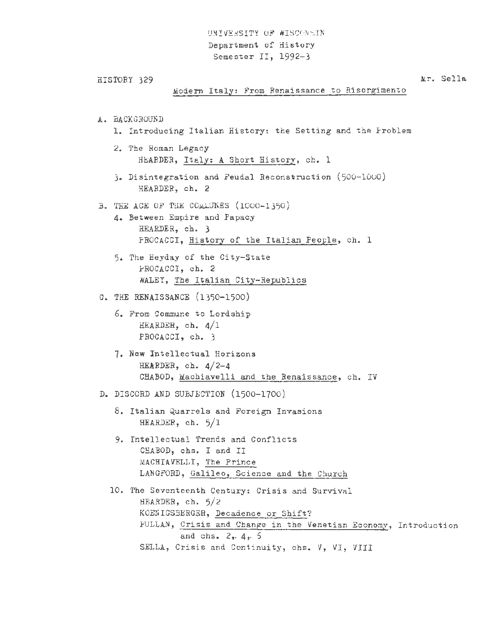## UNIVERSITY OF WISCONSIN Department of History Semester II, 1992-3

```
HISTORY 329 
A. BACKGROUND 
               Modern Italy: From Renaissance to Risorgimento 
   1. Introducing Italian History: the Setting and the Problem 
   2. The Roman Legacy 
        HEARDER, Italy: A Short History, ch. 1 
   3. Disintegration and Feudal Reconstruction (500-1000) 
        HEARDER, ch. 2 
B. THE AGE OF THE COMMUNES (1000-1350)
   4. Between Empire and Papacy 
        HEARDER, ch. 3 
        PROCACCI, History of the Italian People, ch. 1 
   5. The Heyday of the City-State 
        PROCACCI, ch. 2 
        WALEY, The Italian City-Republics 
C. THE RENAISSANCE (1350-1500) 
   6. From Commune to Lordship 
        HEARDER, ch. 4/1 
        PROCACCI, ch. 3 
   7. New Intellectual Horizons 
        HERRDER, ch. 4/2-4CHABOD, Machiavelli and the Renaissance, ch. IV 
D. DISCORD AND SUBJECTION (1500-1700)
   8. Italian Quarrels and Foreign Invasions 
        HEARDER, ch. 5/1 
   9. Intellectual Trends and Conflicts 
        CHABOD, chs. I and II 
        MACHIAVELLI, The Prince 
        LANGFORD, Galileo, Science and the Church 
  10. The Seventeenth Century: Crisis and Survival 
        HEARDER , ch. 5/2 
        KOENIGSBERGER, Decadence or Shift? 
                                                                  ltr. Sella 
        PULLAN, Crisis and Change in the Venetian Economy, Introduction 
                 and chs. 2,. 4,. 5 
        SELLA, Crisis and Continuity, chs. V, VI, VIII
```